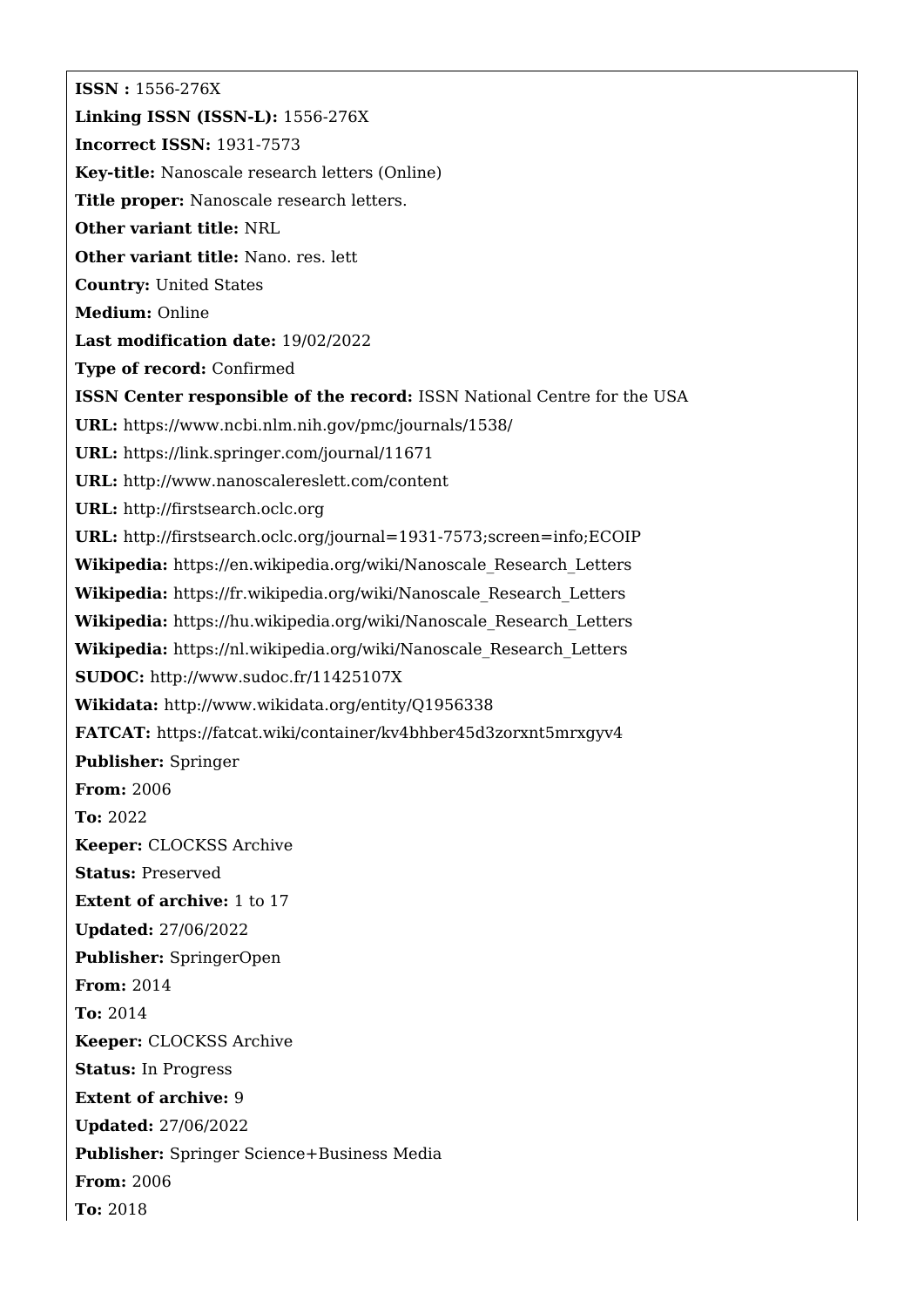**ISSN :** 1556-276X **Linking ISSN (ISSN-L):** 1556-276X **Incorrect ISSN:** 1931-7573 **Key-title:** Nanoscale research letters (Online) **Title proper:** Nanoscale research letters. **Other variant title:** NRL **Other variant title:** Nano. res. lett **Country:** United States **Medium:** Online **Last modification date:** 19/02/2022 **Type of record:** Confirmed **ISSN Center responsible of the record:** ISSN National Centre for the USA **URL:** <https://www.ncbi.nlm.nih.gov/pmc/journals/1538/> **URL:** <https://link.springer.com/journal/11671> **URL:** <http://www.nanoscalereslett.com/content> **URL:** <http://firstsearch.oclc.org> **URL:** <http://firstsearch.oclc.org/journal=1931-7573;screen=info;ECOIP> **Wikipedia:** [https://en.wikipedia.org/wiki/Nanoscale\\_Research\\_Letters](https://en.wikipedia.org/wiki/Nanoscale_Research_Letters) **Wikipedia:** [https://fr.wikipedia.org/wiki/Nanoscale\\_Research\\_Letters](https://fr.wikipedia.org/wiki/Nanoscale_Research_Letters) **Wikipedia:** [https://hu.wikipedia.org/wiki/Nanoscale\\_Research\\_Letters](https://hu.wikipedia.org/wiki/Nanoscale_Research_Letters) **Wikipedia:** [https://nl.wikipedia.org/wiki/Nanoscale\\_Research\\_Letters](https://nl.wikipedia.org/wiki/Nanoscale_Research_Letters) **SUDOC:** <http://www.sudoc.fr/11425107X> **Wikidata:** <http://www.wikidata.org/entity/Q1956338> **FATCAT:** <https://fatcat.wiki/container/kv4bhber45d3zorxnt5mrxgyv4> **Publisher:** Springer **From:** 2006 **To:** 2022 **Keeper:** CLOCKSS Archive **Status:** Preserved **Extent of archive:** 1 to 17 **Updated:** 27/06/2022 **Publisher:** SpringerOpen **From:** 2014 **To:** 2014 **Keeper:** CLOCKSS Archive **Status:** In Progress **Extent of archive:** 9 **Updated:** 27/06/2022 **Publisher:** Springer Science+Business Media **From:** 2006 **To:** 2018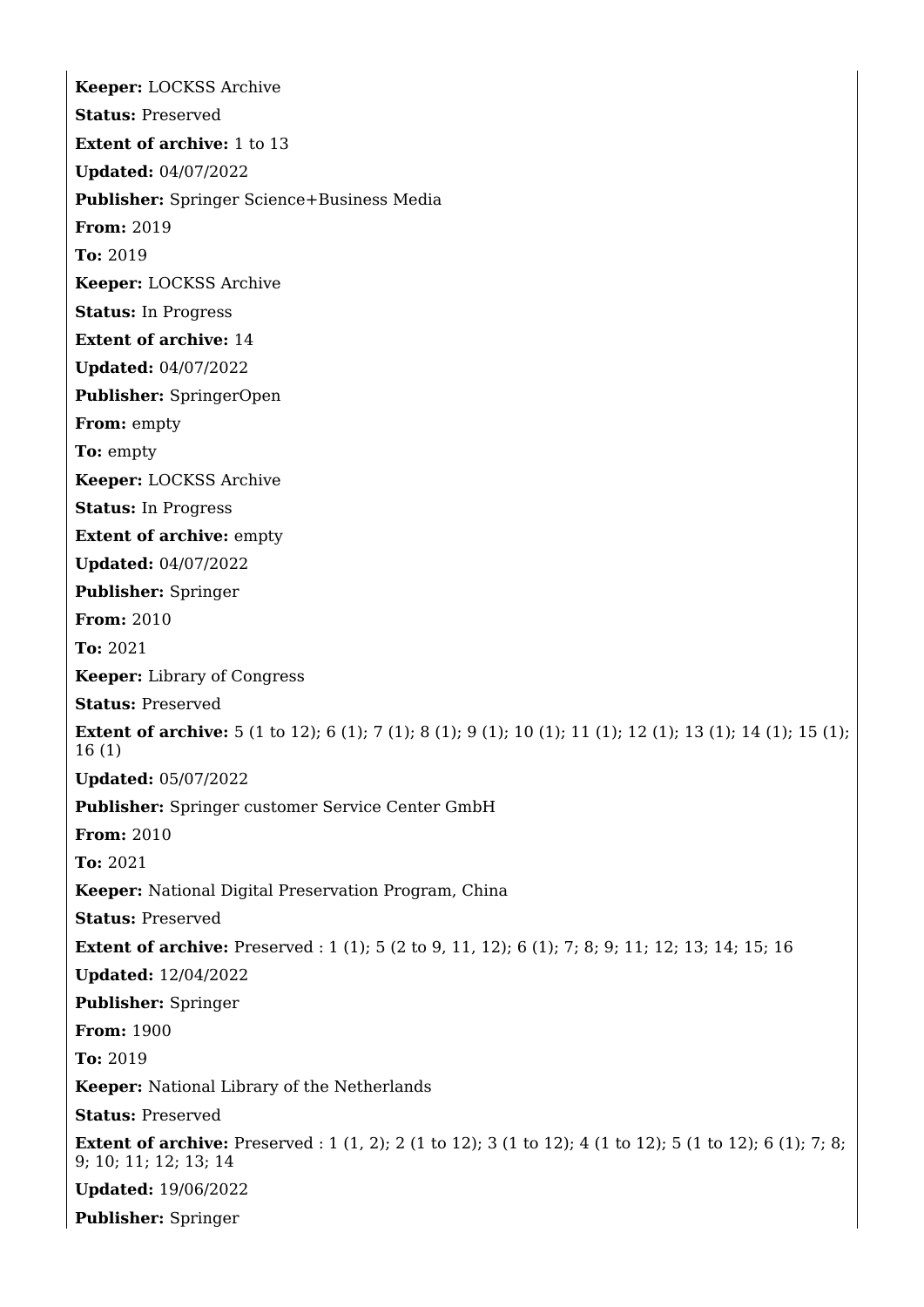**Keeper:** LOCKSS Archive **Status:** Preserved **Extent of archive:** 1 to 13 **Updated:** 04/07/2022 **Publisher:** Springer Science+Business Media **From:** 2019 **To:** 2019 **Keeper:** LOCKSS Archive **Status:** In Progress **Extent of archive:** 14 **Updated:** 04/07/2022 **Publisher:** SpringerOpen **From:** empty **To:** empty **Keeper:** LOCKSS Archive **Status:** In Progress **Extent of archive:** empty **Updated:** 04/07/2022 **Publisher:** Springer **From:** 2010 **To:** 2021 **Keeper:** Library of Congress **Status:** Preserved **Extent of archive:** 5 (1 to 12); 6 (1); 7 (1); 8 (1); 9 (1); 10 (1); 11 (1); 12 (1); 13 (1); 14 (1); 15 (1); 16 (1) **Updated:** 05/07/2022 **Publisher:** Springer customer Service Center GmbH **From:** 2010 **To:** 2021 **Keeper:** National Digital Preservation Program, China **Status:** Preserved **Extent of archive:** Preserved : 1 (1); 5 (2 to 9, 11, 12); 6 (1); 7; 8; 9; 11; 12; 13; 14; 15; 16 **Updated:** 12/04/2022 **Publisher:** Springer **From:** 1900 **To:** 2019 **Keeper:** National Library of the Netherlands **Status:** Preserved **Extent of archive:** Preserved : 1 (1, 2); 2 (1 to 12); 3 (1 to 12); 4 (1 to 12); 5 (1 to 12); 6 (1); 7; 8; 9; 10; 11; 12; 13; 14 **Updated:** 19/06/2022 **Publisher:** Springer